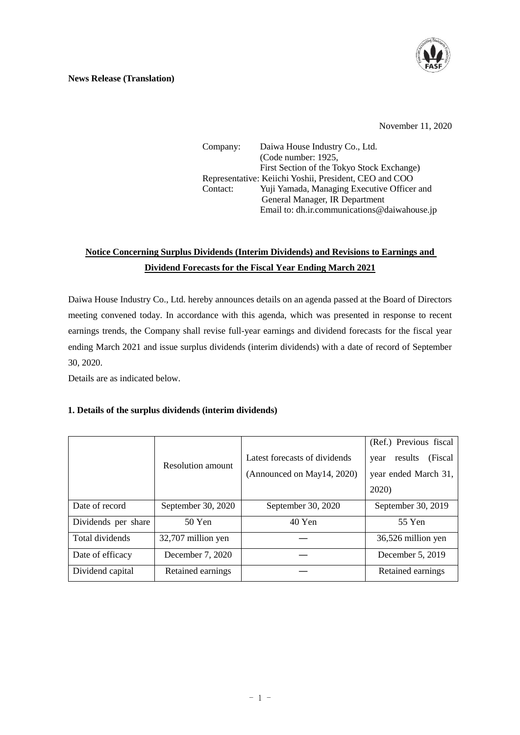

#### **News Release (Translation)**

November 11, 2020

Company: Daiwa House Industry Co., Ltd. (Code number: 1925, First Section of the Tokyo Stock Exchange) Representative: Keiichi Yoshii, President, CEO and COO Contact: Yuji Yamada, Managing Executive Officer and General Manager, IR Department Email to: dh.ir.communications@daiwahouse.jp

## **Notice Concerning Surplus Dividends (Interim Dividends) and Revisions to Earnings and Dividend Forecasts for the Fiscal Year Ending March 2021**

Daiwa House Industry Co., Ltd. hereby announces details on an agenda passed at the Board of Directors meeting convened today. In accordance with this agenda, which was presented in response to recent earnings trends, the Company shall revise full-year earnings and dividend forecasts for the fiscal year ending March 2021 and issue surplus dividends (interim dividends) with a date of record of September 30, 2020.

Details are as indicated below.

### **1. Details of the surplus dividends (interim dividends)**

|                     | Resolution amount  | Latest forecasts of dividends<br>(Announced on May14, 2020) | (Ref.) Previous fiscal<br>(Fiscal)<br>results<br>year<br>year ended March 31,<br>2020) |  |
|---------------------|--------------------|-------------------------------------------------------------|----------------------------------------------------------------------------------------|--|
| Date of record      | September 30, 2020 | September 30, 2020                                          | September 30, 2019                                                                     |  |
| Dividends per share | $50$ Yen           | 40 Yen                                                      | 55 Yen                                                                                 |  |
| Total dividends     | 32,707 million yen |                                                             | 36,526 million yen                                                                     |  |
| Date of efficacy    | December 7, 2020   |                                                             | December 5, 2019                                                                       |  |
| Dividend capital    | Retained earnings  |                                                             | Retained earnings                                                                      |  |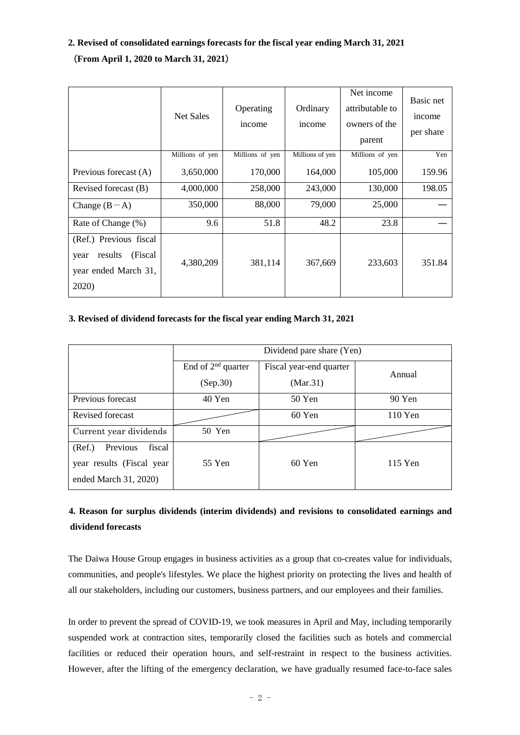# **2. Revised of consolidated earnings forecasts for the fiscal year ending March 31, 2021** (**From April 1, 2020 to March 31, 2021**)

|                                                                                        | <b>Net Sales</b> | Operating<br>income | Ordinary<br>income | Net income<br>attributable to<br>owners of the<br>parent | Basic net<br>income<br>per share |
|----------------------------------------------------------------------------------------|------------------|---------------------|--------------------|----------------------------------------------------------|----------------------------------|
|                                                                                        | Millions of yen  | Millions of yen     | Millions of yen    | Millions of yen                                          | Yen                              |
| Previous forecast (A)                                                                  | 3,650,000        | 170,000             | 164,000            | 105,000                                                  | 159.96                           |
| Revised forecast (B)                                                                   | 4,000,000        | 258,000             | 243,000            | 130,000                                                  | 198.05                           |
| Change $(B-A)$                                                                         | 350,000          | 88,000              | 79,000             | 25,000                                                   |                                  |
| Rate of Change (%)                                                                     | 9.6              | 51.8                | 48.2               | 23.8                                                     |                                  |
| (Ref.) Previous fiscal<br>(Fiscal)<br>results<br>year<br>year ended March 31,<br>2020) | 4,380,209        | 381,114             | 367,669            | 233,603                                                  | 351.84                           |

### **3. Revised of dividend forecasts for the fiscal year ending March 31, 2021**

|                              | Dividend pare share (Yen) |                         |         |  |  |
|------------------------------|---------------------------|-------------------------|---------|--|--|
|                              | End of $2nd$ quarter      | Fiscal year-end quarter | Annual  |  |  |
|                              | (Sep.30)                  | (Mar.31)                |         |  |  |
| Previous forecast            | 40 Yen                    | 50 Yen                  | 90 Yen  |  |  |
| Revised forecast             |                           | 60 Yen                  | 110 Yen |  |  |
| Current year dividends       | 50 Yen                    |                         |         |  |  |
| Previous<br>(Ref.)<br>fiscal |                           |                         |         |  |  |
| year results (Fiscal year    | 55 Yen                    | $60$ Yen                | 115 Yen |  |  |
| ended March 31, 2020)        |                           |                         |         |  |  |

## **4. Reason for surplus dividends (interim dividends) and revisions to consolidated earnings and dividend forecasts**

The Daiwa House Group engages in business activities as a group that co-creates value for individuals, communities, and people's lifestyles. We place the highest priority on protecting the lives and health of all our stakeholders, including our customers, business partners, and our employees and their families.

In order to prevent the spread of COVID-19, we took measures in April and May, including temporarily suspended work at contraction sites, temporarily closed the facilities such as hotels and commercial facilities or reduced their operation hours, and self-restraint in respect to the business activities. However, after the lifting of the emergency declaration, we have gradually resumed face-to-face sales